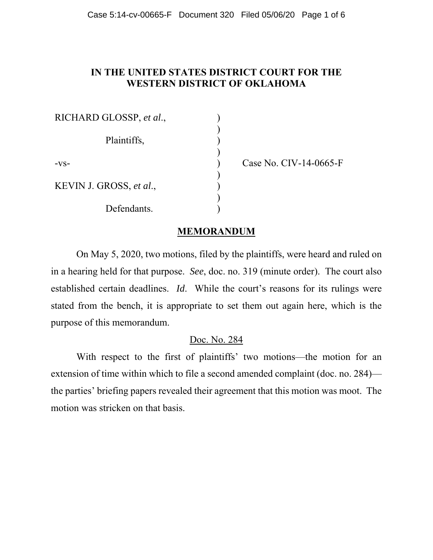# **IN THE UNITED STATES DISTRICT COURT FOR THE WESTERN DISTRICT OF OKLAHOMA**

| RICHARD GLOSSP, et al., |  |
|-------------------------|--|
| Plaintiffs,             |  |
| $-VS-$                  |  |
| KEVIN J. GROSS, et al., |  |
| Defendants.             |  |

) Case No. CIV-14-0665-F

### **MEMORANDUM**

On May 5, 2020, two motions, filed by the plaintiffs, were heard and ruled on in a hearing held for that purpose. *See*, doc. no. 319 (minute order). The court also established certain deadlines. *Id*. While the court's reasons for its rulings were stated from the bench, it is appropriate to set them out again here, which is the purpose of this memorandum.

### Doc. No. 284

With respect to the first of plaintiffs' two motions—the motion for an extension of time within which to file a second amended complaint (doc. no. 284) the parties' briefing papers revealed their agreement that this motion was moot. The motion was stricken on that basis.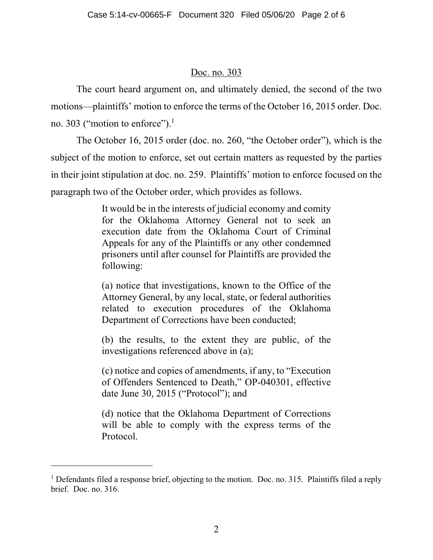# Doc. no. 303

The court heard argument on, and ultimately denied, the second of the two motions—plaintiffs' motion to enforce the terms of the October 16, 2015 order. Doc. no. 303 ("motion to enforce").<sup>1</sup>

The October 16, 2015 order (doc. no. 260, "the October order"), which is the subject of the motion to enforce, set out certain matters as requested by the parties in their joint stipulation at doc. no. 259. Plaintiffs' motion to enforce focused on the paragraph two of the October order, which provides as follows.

> It would be in the interests of judicial economy and comity for the Oklahoma Attorney General not to seek an execution date from the Oklahoma Court of Criminal Appeals for any of the Plaintiffs or any other condemned prisoners until after counsel for Plaintiffs are provided the following:

> (a) notice that investigations, known to the Office of the Attorney General, by any local, state, or federal authorities related to execution procedures of the Oklahoma Department of Corrections have been conducted;

> (b) the results, to the extent they are public, of the investigations referenced above in (a);

> (c) notice and copies of amendments, if any, to "Execution of Offenders Sentenced to Death," OP-040301, effective date June 30, 2015 ("Protocol"); and

> (d) notice that the Oklahoma Department of Corrections will be able to comply with the express terms of the Protocol.

l

<sup>&</sup>lt;sup>1</sup> Defendants filed a response brief, objecting to the motion. Doc. no. 315. Plaintiffs filed a reply brief. Doc. no. 316.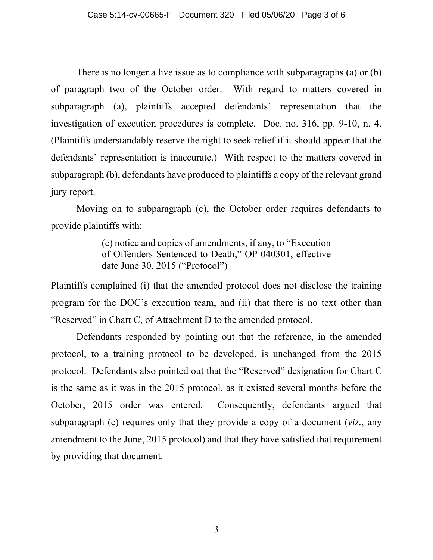There is no longer a live issue as to compliance with subparagraphs (a) or (b) of paragraph two of the October order. With regard to matters covered in subparagraph (a), plaintiffs accepted defendants' representation that the investigation of execution procedures is complete. Doc. no. 316, pp. 9-10, n. 4. (Plaintiffs understandably reserve the right to seek relief if it should appear that the defendants' representation is inaccurate.) With respect to the matters covered in subparagraph (b), defendants have produced to plaintiffs a copy of the relevant grand jury report.

Moving on to subparagraph (c), the October order requires defendants to provide plaintiffs with:

> (c) notice and copies of amendments, if any, to "Execution of Offenders Sentenced to Death," OP-040301, effective date June 30, 2015 ("Protocol")

Plaintiffs complained (i) that the amended protocol does not disclose the training program for the DOC's execution team, and (ii) that there is no text other than "Reserved" in Chart C, of Attachment D to the amended protocol.

Defendants responded by pointing out that the reference, in the amended protocol, to a training protocol to be developed, is unchanged from the 2015 protocol. Defendants also pointed out that the "Reserved" designation for Chart C is the same as it was in the 2015 protocol, as it existed several months before the October, 2015 order was entered. Consequently, defendants argued that subparagraph (c) requires only that they provide a copy of a document (*viz.*, any amendment to the June, 2015 protocol) and that they have satisfied that requirement by providing that document.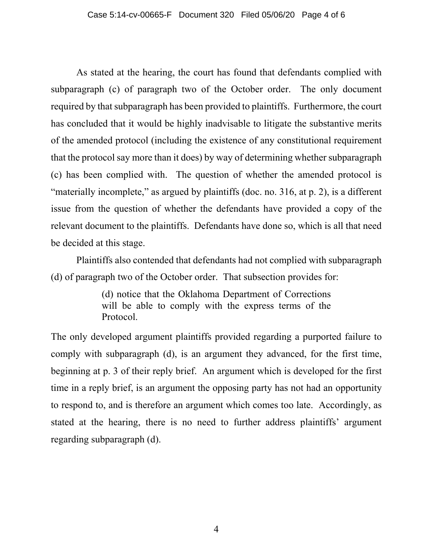As stated at the hearing, the court has found that defendants complied with subparagraph (c) of paragraph two of the October order. The only document required by that subparagraph has been provided to plaintiffs. Furthermore, the court has concluded that it would be highly inadvisable to litigate the substantive merits of the amended protocol (including the existence of any constitutional requirement that the protocol say more than it does) by way of determining whether subparagraph (c) has been complied with. The question of whether the amended protocol is "materially incomplete," as argued by plaintiffs (doc. no. 316, at p. 2), is a different issue from the question of whether the defendants have provided a copy of the relevant document to the plaintiffs. Defendants have done so, which is all that need be decided at this stage.

Plaintiffs also contended that defendants had not complied with subparagraph (d) of paragraph two of the October order. That subsection provides for:

> (d) notice that the Oklahoma Department of Corrections will be able to comply with the express terms of the Protocol.

The only developed argument plaintiffs provided regarding a purported failure to comply with subparagraph (d), is an argument they advanced, for the first time, beginning at p. 3 of their reply brief. An argument which is developed for the first time in a reply brief, is an argument the opposing party has not had an opportunity to respond to, and is therefore an argument which comes too late. Accordingly, as stated at the hearing, there is no need to further address plaintiffs' argument regarding subparagraph (d).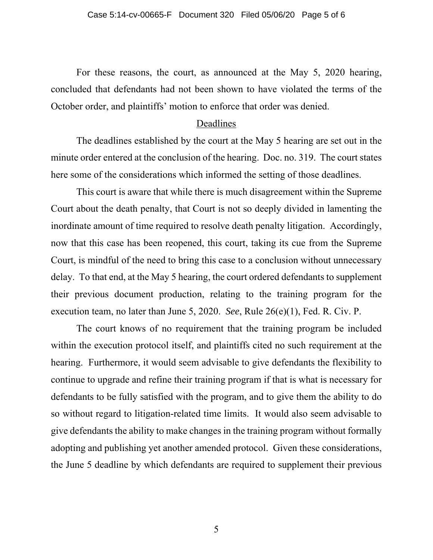For these reasons, the court, as announced at the May 5, 2020 hearing, concluded that defendants had not been shown to have violated the terms of the October order, and plaintiffs' motion to enforce that order was denied.

#### Deadlines

The deadlines established by the court at the May 5 hearing are set out in the minute order entered at the conclusion of the hearing. Doc. no. 319. The court states here some of the considerations which informed the setting of those deadlines.

This court is aware that while there is much disagreement within the Supreme Court about the death penalty, that Court is not so deeply divided in lamenting the inordinate amount of time required to resolve death penalty litigation. Accordingly, now that this case has been reopened, this court, taking its cue from the Supreme Court, is mindful of the need to bring this case to a conclusion without unnecessary delay. To that end, at the May 5 hearing, the court ordered defendants to supplement their previous document production, relating to the training program for the execution team, no later than June 5, 2020. *See*, Rule 26(e)(1), Fed. R. Civ. P.

The court knows of no requirement that the training program be included within the execution protocol itself, and plaintiffs cited no such requirement at the hearing. Furthermore, it would seem advisable to give defendants the flexibility to continue to upgrade and refine their training program if that is what is necessary for defendants to be fully satisfied with the program, and to give them the ability to do so without regard to litigation-related time limits. It would also seem advisable to give defendants the ability to make changes in the training program without formally adopting and publishing yet another amended protocol. Given these considerations, the June 5 deadline by which defendants are required to supplement their previous